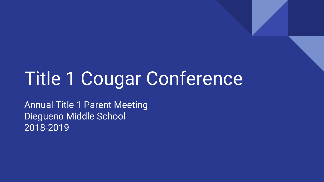# Title 1 Cougar Conference

Annual Title 1 Parent Meeting Diegueno Middle School 2018-2019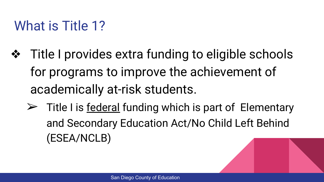### What is Title 1?

- ❖ Title I provides extra funding to eligible schools for programs to improve the achievement of academically at-risk students.
	- $\triangleright$  Title I is <u>federal</u> funding which is part of Elementary and Secondary Education Act/No Child Left Behind (ESEA/NCLB)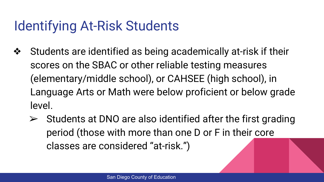#### Identifying At-Risk Students

- ❖ Students are identified as being academically at-risk if their scores on the SBAC or other reliable testing measures (elementary/middle school), or CAHSEE (high school), in Language Arts or Math were below proficient or below grade level.
	- $\triangleright$  Students at DNO are also identified after the first grading period (those with more than one D or F in their core classes are considered "at-risk.")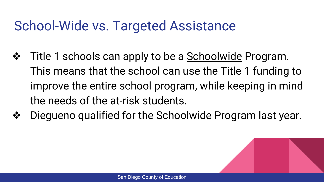### School-Wide vs. Targeted Assistance

- ❖ Title 1 schools can apply to be a Schoolwide Program. This means that the school can use the Title 1 funding to improve the entire school program, while keeping in mind the needs of the at-risk students.
- ❖ Diegueno qualified for the Schoolwide Program last year.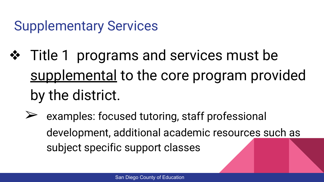#### Supplementary Services

- ❖ Title 1 programs and services must be supplemental to the core program provided by the district.
	- $\triangleright$  examples: focused tutoring, staff professional development, additional academic resources such as subject specific support classes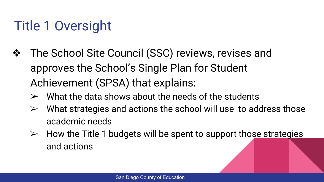# Title 1 Oversight

- ❖ The School Site Council (SSC) reviews, revises and approves the School's Single Plan for Student Achievement (SPSA) that explains:
	- $\triangleright$  What the data shows about the needs of the students
	- $\triangleright$  What strategies and actions the school will use to address those academic needs
	- $\triangleright$  How the Title 1 budgets will be spent to support those strategies and actions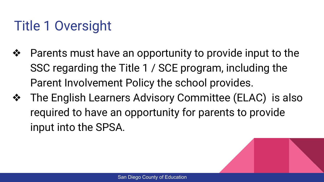# Title 1 Oversight

- ❖ Parents must have an opportunity to provide input to the SSC regarding the Title 1 / SCE program, including the Parent Involvement Policy the school provides.
- ❖ The English Learners Advisory Committee (ELAC) is also required to have an opportunity for parents to provide input into the SPSA.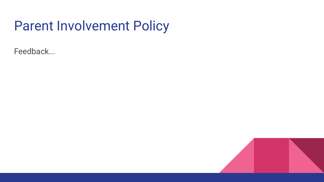#### Parent Involvement Policy

Feedback...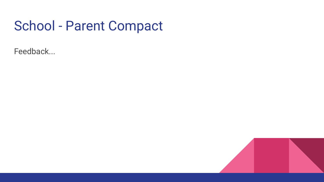#### School - Parent Compact

Feedback...

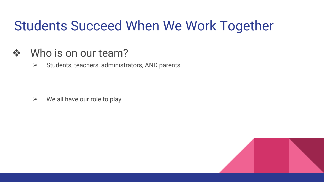### Students Succeed When We Work Together

#### ❖ Who is on our team?

 $\triangleright$  Students, teachers, administrators, AND parents

 $\triangleright$  We all have our role to play

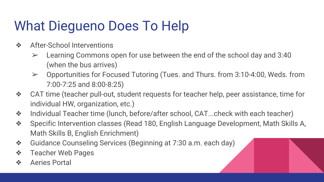# What Diegueno Does To Help

- ❖ After-School Interventions
	- $\geq$  Learning Commons open for use between the end of the school day and 3:40 (when the bus arrives)
	- ➢ Opportunities for Focused Tutoring (Tues. and Thurs. from 3:10-4:00, Weds. from 7:00-7:25 and 8:00-8:25)
- ❖ CAT time (teacher pull-out, student requests for teacher help, peer assistance, time for individual HW, organization, etc.)
- ❖ Individual Teacher time (lunch, before/after school, CAT...check with each teacher)
- ❖ Specific Intervention classes (Read 180, English Language Development, Math Skills A, Math Skills B, English Enrichment)
- ❖ Guidance Counseling Services (Beginning at 7:30 a.m. each day)
- ❖ Teacher Web Pages
- ❖ Aeries Portal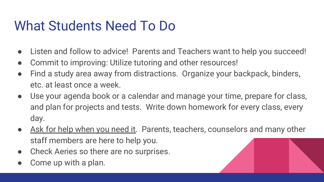### What Students Need To Do

- Listen and follow to advice! Parents and Teachers want to help you succeed!
- Commit to improving: Utilize tutoring and other resources!
- Find a study area away from distractions. Organize your backpack, binders, etc. at least once a week.
- Use your agenda book or a calendar and manage your time, prepare for class, and plan for projects and tests. Write down homework for every class, every day.
- Ask for help when you need it. Parents, teachers, counselors and many other staff members are here to help you.
- Check Aeries so there are no surprises.
- Come up with a plan.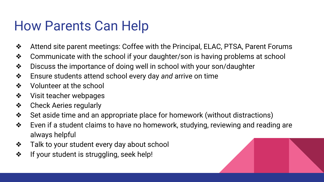#### How Parents Can Help

- ❖ Attend site parent meetings: Coffee with the Principal, ELAC, PTSA, Parent Forums
- ❖ Communicate with the school if your daughter/son is having problems at school
- ❖ Discuss the importance of doing well in school with your son/daughter
- ❖ Ensure students attend school every day *and* arrive on time
- ❖ Volunteer at the school
- ❖ Visit teacher webpages
- ❖ Check Aeries regularly
- ❖ Set aside time and an appropriate place for homework (without distractions)
- ❖ Even if a student claims to have no homework, studying, reviewing and reading are always helpful
- ❖ Talk to your student every day about school
- ❖ If your student is struggling, seek help!